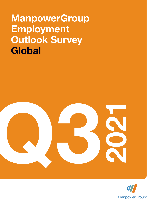# ManpowerGroup Employment Outlook Survey **Global**



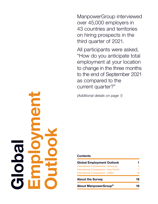ManpowerGroup interviewed over 45,000 employers in 43 countries and territories on hiring prospects in the third quarter of 2021.

All participants were asked, "How do you anticipate total employment at your location to change in the three months to the end of September 2021 as compared to the current quarter?"

(Additional details on page 1)

### **Contents**

| About ManpowerGroup <sup>®</sup>         | 18 |
|------------------------------------------|----|
| <b>About the Survey</b>                  | 18 |
| International Comparisons - EMEA         | 10 |
| International Comparisons - Asia Pacific | 7  |
| International Comparisons - Americas     | 3  |
| <b>Global Employment Outlook</b>         |    |

Employment TO C Outlook Bdlo<br>Globa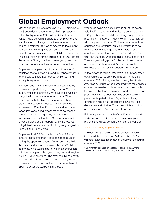## Global Employment Outlook

ManpowerGroup interviewed over 45,000 employers in 43 countries and territories on hiring prospects\* in the third quarter of 2021. All participants were asked, "How do you anticipate total employment at your location to change in the three months to the end of September 2021 as compared to the current quarter?"Interviewing was carried out during the exceptional circumstances of the COVID-19 outbreak. The survey findings for the third quarter of 2021 reflect the impact of the global health emergency, and the ongoing economic restrictions in many countries.

Employers anticipate payroll gains in 42 of the 43 countries and territories surveyed by ManpowerGroup for the July to September period, while flat hiring activity is expected in one.

In a comparison with the second quarter of 2021, employers report stronger hiring plans in 31 of the 43 countries and territories, while Outlooks weaken in eight, with no change reported in four. When compared with this time one year ago – when COVID-19 first had an impact on hiring sentiment – employers in 42 of the 43 countries and territories report improved hiring prospects, with no change in one. In the coming quarter, the strongest labor markets are forecast in the U.S., Taiwan, Australia, Greece, Ireland and Singapore, while the weakest hiring intentions are reported in Hong Kong, Argentina, Panama and South Africa.

Employers in all 26 Europe, Middle East & Africa (EMEA) region countries expect to add to payrolls during the upcoming quarter. When compared with the prior quarter, Outlooks strengthen in 22 EMEA countries, while weakening in two. In a comparison with the same period last year, hiring plans strengthen in all 26 EMEA countries. The strongest hiring activity is expected in Greece, Ireland, and Croatia, while employers in South Africa, the Czech Republic and Spain forecast the weakest hiring pace.

Workforce gains are anticipated in six of the seven Asia Pacific countries and territories during the July to September period, while flat hiring prospects are reported in the seventh – Hong Kong. In a comparison with the previous quarter, Outlooks improve in three countries and territories, but also weaken in three. Hiring sentiment strengthens in six Asia Pacific countries and territories when compared with this time one year ago, while remaining unchanged in one. The strongest hiring plans for the next three months are reported in Taiwan and Australia, while the weakest labor market is expected in Hong Kong.

In the Americas region, employers in all 10 countries surveyed expect to grow payrolls during the third quarter of 2021. Hiring intentions strengthen in six Americas countries when compared with the previous quarter, but weaken in three. In a comparison with last year at this time, employers report stronger hiring prospects in all 10 countries. The strongest hiring pace is anticipated in the U.S., while cautiously optimistic hiring plans are reported in Costa Rica, Guatemala and Mexico. The weakest labor markets are anticipated in Argentina and Panama.

Full survey results for each of the 43 countries and territories included in this quarter's survey, plus regional and global comparisons, can be found at

### www.manpowergroup.com/meos

The next ManpowerGroup Employment Outlook Survey will be released on 14 September 2021 and will detail expected labor market activity for the fourth quarter of 2021.

<sup>\*</sup> Commentary is based on seasonally adjusted data where available. Data is not seasonally adjusted for Croatia.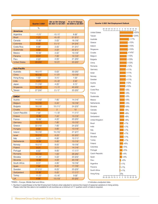|                      | Quarter 3 2021 | <b>Qtr on Qtr Change</b><br>Q2 2021 to Q3 2021 | <b>Yr on Yr Change</b><br>Q3 2020 to Q3 2021 |
|----------------------|----------------|------------------------------------------------|----------------------------------------------|
|                      | $\%$           |                                                |                                              |
| <b>Americas</b>      |                |                                                |                                              |
| Argentina            | $-1(1)^1$      | $-5(-1)^{1}$                                   | $8(8)^1$                                     |
| <b>Brazil</b>        | $7(7)^1$       | $-6(-2)^1$                                     | $21 (21)^1$                                  |
| Canada               | $13(8)^1$      | $2(0)^1$                                       | $18(18)^1$                                   |
| Colombia             | $6(5)^1$       | $0(-1)^1$                                      | $24(24)^1$                                   |
| Costa Rica           | $8(9)^1$       | $2(5)^{1}$                                     | $31(31)^1$                                   |
| Guatemala            | $9(9)^1$       | $2(2)^{1}$                                     | $22(21)^1$                                   |
| Mexico               | $10(9)^1$      | $2(2)^{1}$                                     | $19(19)^1$                                   |
| Panama               | $0(1)^{1}$     | $7(9)^1$                                       | $12(12)^1$                                   |
| Peru                 | $2(2)^{1}$     | $2(3)^{1}$                                     | $21 (20)^1$                                  |
| <b>United States</b> | $29(25)^1$     | $10(7)^1$                                      | $23(22)^1$                                   |
|                      |                |                                                |                                              |
| <b>Asia Pacific</b>  |                |                                                |                                              |
| Australia            | $16(17)^1$     | $O(0)^1$                                       | $30(30)^1$                                   |
| China                | $16(13)^1$     | $11(7)^1$                                      | $13(10)^1$                                   |
| Hong Kong            | $1 (0)^1$      | $3(1)^1$                                       | $1(0)^1$                                     |
| India                | $5(7)^1$       | $-5(-2)^{1}$                                   | $2(2)^1$                                     |
| Japan                | 11 $(10)^1$    | 4 $(5)^{1}$                                    | $2(1)^1$                                     |
| Singapore            | $16(15)^1$     | $-1 (-1)^1$                                    | $43(43)^1$                                   |
| Taiwan               | $27(24)^1$     | $2(-1)^{1}$                                    | $20(20)^1$                                   |
|                      |                |                                                |                                              |
| $EMEA^{\dagger}$     |                |                                                |                                              |
| Austria              | $14(10)^1$     | $7(6)^1$                                       | $14(14)^1$                                   |
| Belgium              | $14(13)^1$     | $5(4)^1$                                       | $19(19)^1$                                   |
| Bulgaria             | $18(13)^1$     | $15(11)^1$                                     | $24(23)^{1}$                                 |
| Croatia              | 14             | 2                                              | 12                                           |

| Deigian            | 14 (10)    | ∪ (+)          | 10(10)               |
|--------------------|------------|----------------|----------------------|
| Bulgaria           | $18(13)^1$ | $15(11)^1$     | $24(23)^{1}$         |
| Croatia            | 14         | $\overline{2}$ | 12                   |
| Czech Republic     | $7(4)^1$   | $-1$ $(-3)^1$  | $11(11)^1$           |
| Finland            | $13(6)^1$  | $7(4)^1$       | $13(13)^1$           |
| France             | $12(9)^1$  | $4(2)^{1}$     | $20(20)^1$           |
| Germany            | $12(11)^1$ | $7(8)^1$       | $10(10)^1$           |
| Greece             | $22(15)^1$ | $7(6)^1$       | $24(23)^{1}$         |
| Hungary            | $8(8)^1$   | $3(6)^1$       | $13(14)^1$           |
| Ireland            | $18(15)^1$ | $15(15)^1$     | $27(27)^1$           |
| <b>Israel</b>      | $15(11)^1$ | $6(3)^1$       | $22(22)^1$           |
| Italy              | $9(7)^1$   | $6(8)^1$       | $12(11)^1$           |
| <b>Netherlands</b> | $10(9)^1$  | $5(6)^1$       | $13(13)^1$           |
| Norway             | $15(11)^1$ | $9(5)^1$       | 19 (19) <sup>1</sup> |
| Poland             | $9(7)^1$   | $2(1)^1$       | $14(14)^1$           |
| Portugal           | $8(5)^1$   | $9(6)^1$       | $17(17)^1$           |
| Romania            | $19(12)^1$ | $1(0)^1$       | $26(26)^1$           |
| Slovakia           | 11 $(7)^1$ | $5(2)^1$       | $23(23)^1$           |
| Slovenia           | $13(9)^1$  | $3(0)^1$       | $20(19)^1$           |
| South Africa       | $0(1)^1$   | $4(6)^1$       | 19 (19) <sup>1</sup> |
| Spain              | $7(4)^1$   | $6(4)^1$       | $17(16)^1$           |
| Sweden             | $17(11)^1$ | $6(3)^1$       | $23(23)^1$           |
| Switzerland        | $10(8)^1$  | $5(5)^1$       | $17(17)^1$           |
| Turkey             | 11 $(7)^1$ | $-5(-4)^1$     | $9(9)^1$             |
| <b>UK</b>          | $8(8)^1$   | $13(13)^1$     | $20(20)^1$           |



†EMEA – Europe, Middle East and Africa.

\* Indicates unadjusted data.

1. Number in parentheses is the Net Employment Outlook when adjusted to remove the impact of seasonal variations in hiring activity. Please note that this data is not available for all countries as a minimum of 17 quarters worth of data is required.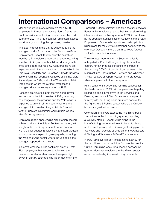## International Comparisons – Americas

ManpowerGroup interviewed more than 17,000 employers in 10 countries across North, Central and South America about hiring prospects for the third quarter of 2021. In all 10 countries, employers expect workforce gains during the upcoming quarter.

The labor market in the U.S. is expected to be the strongest of all 43 countries in the ManpowerGroup Employment Outlook Survey over the next three months. U.S. employers report their strongest hiring intentions in 21 years, with solid workforce growth anticipated in all four regions. Workforce gains are expected in all 12 industry sectors, most notably in the Leisure & Hospitality and Education & Health Services sectors, with their strongest Outlooks since they were first analyzed in 2009, and in the Wholesale & Retail Trade sector, where the Outlook matches the strongest since the survey started in 1982.

Canada's employers expect the fair hiring climate to continue in the third quarter of 2021, reporting no change over the previous quarter. With payrolls expected to grow in all 10 industry sectors, the strongest third quarter hiring activity is forecast for the Public Administration and Durable Goods Manufacturing sectors.

Employers report encouraging signs for job seekers in Mexico during the July to September period, with a slight uptick in hiring prospects when compared with the prior quarter. Employers in all seven Mexican industry sectors expect to grow payrolls, including the Manufacturing sector where the Outlook is the strongest reported in two years.

In Central America, hiring sentiment among Costa Rican employers has recovered following the pandemic, and now stands at a three-year high, driven in part by strengthening labor markets in the

Transport & Communication and Manufacturing sectors. Panamanian employers report their first positive hiring intentions since the final quarter of 2019, in part fueled by the strongest Services sector Outlook in three years. Employers in Guatemala report cautiously optimistic hiring plans for the July to September period, with the strongest Outlook in more than three years forecast for the Manufacturing sector.

The strongest labor market in South America is anticipated in Brazil, although hiring plans for the country remain modest. Reflecting the impact of the ongoing COVID-19 pandemic, employers in the Manufacturing, Construction, Services and Wholesale & Retail sectors all report weaker hiring prospects when compared with the prior quarter.

Hiring sentiment in Argentina remains cautious for the third quarter of 2021, with employers anticipating limited job gains. Employers in the Services and Finance, Insurance & Real Estate sectors expect to trim payrolls, but hiring plans are more positive for the Agriculture & Fishing sector, where the Outlook is the strongest in four years.

Colombian employers expect the mild hiring pace to continue in the forthcoming quarter, reporting a relatively stable Outlook. While hiring in the Manufacturing sector continues to be soft, Mining sector employers report their strongest hiring plans in two years and forecasts strengthen for the Agriculture & Fishing and Wholesale & Retail Trade sectors.

In Peru, employers report limited hiring activity for the next three months, with the Construction sector Outlook remaining weak for a second consecutive quarter. However, employers in the Mining sector report considerably improved hiring prospects.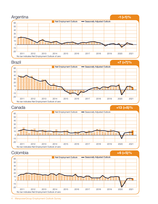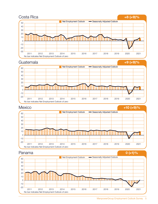





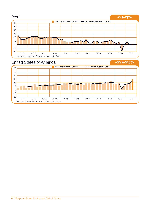

2011 2013 2014 2015 2016 2017 2018 2019 2020 2021 2012

No bar indicates Net Employment Outlook of zero

-20 -10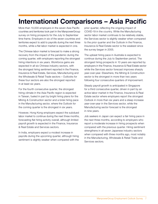## International Comparisons – Asia Pacific

More than 10,000 employers in the seven Asia Pacific countries and territories took part in the ManpowerGroup survey on hiring prospects for the July to September time frame. Employers in six of the seven countries and territories expect to add to payrolls during the next three months, while a flat labor market is expected in one.

The Chinese labor market is forecast to make a strong recovery from the impact of the pandemic during the coming quarter, with employers reporting the strongest hiring intentions in six years. Workforce gains are expected in all six Chinese industry sectors, with the strongest hiring sentiment reported in the Finance, Insurance & Real Estate, Services, Manufacturing and the Wholesale & Retail Trade sectors – Outlooks for these four sectors are also the strongest reported in at least six years.

For the fourth consecutive quarter, the strongest hiring climate in the Asia Pacific region is expected in Taiwan, fueled in part by bright hiring plans for the Mining & Construction sector and a brisk hiring pace in the Manufacturing sector, where the Outlook for the coming quarter is the strongest in six years.

However, Hong Kong employers expect the subdued labor market to continue during the next three months, forecasting flat hiring activity overall, although limited payroll growth is expected in the Finance, Insurance & Real Estate and Services sectors.

In India, employers expect a modest increase in payrolls during the upcoming quarter, although hiring sentiment is slightly weaker when compared with the prior quarter, reflecting the ongoing impact of COVID-19 in the country. While the Manufacturing sector labor market continues to be relatively stable, the Services sector is slightly weaker when compared to the prior quarter and the Outlook in the Finance, Insurance & Real Estate sector is the weakest since the survey began in 2005.

The upbeat hiring pace in Australia is expected to continue during the July to September period. The strongest hiring prospects in 10 years are reported by employers in the Finance, Insurance & Real Estate sector while the Services sector forecast improves sharply year-over-year. Elsewhere, the Mining & Construction sector is the strongest in more than two years following four consecutive quarters of improvement.

Steady payroll growth is anticipated in Singapore for a third consecutive quarter, driven in part by an active labor market in the Finance, Insurance & Real Estate sector where employers report the strongest Outlook in more than six years and a steep increase year-over-year in the Services sector, while the Manufacturing sector forecast is the strongest in nine years.

Job seekers in Japan can expect a fair hiring pace in the next three months, according to employers who report a moderate increase in hiring prospects when compared with the previous quarter. Hiring sentiment strengthens in all seven Japanese industry sectors when compared with three months ago, most notably in the Manufacturing, Wholesale & Retail Trade and Services sectors.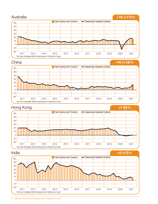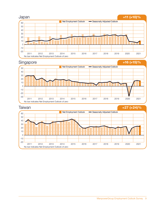







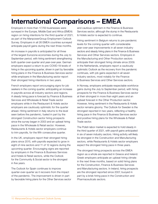## International Comparisons – EMEA

Employers in more than 17,700 businesses were surveyed in the Europe, Middle East and Africa (EMEA) region on hiring intentions for the third quarter of 2021, as part of the ManpowerGroup Employment Outlook Survey. Employers in all 26 EMEA countries surveyed anticipate payroll gains during the next three months.

An increase in payrolls is anticipated for all three of the largest Eurozone economies during the July to September period, with hiring sentiment strengthening both quarter-over-quarter and year-over-year. German employers expect a return to pre-COVID-19 levels of hiring in the upcoming quarter, driven in part by favorable hiring plans in the Finance & Business Services sector while employers in the Manufacturing sector report their strongest hiring intentions in two years.

French employers report encouraging signs for job seekers in the coming quarter, anticipating an increase in payrolls across all industry sectors and regions. A steady hiring pace is forecast by Finance & Business Services and Wholesale & Retail Trade sector employers while in the Restaurant & Hotels sector employers are cautiously optimistic for the quarter ahead. Hiring sentiment in Italy returns to the level seen before the pandemic, fueled in part by the strongest Construction sector hiring prospects since the survey began in 2003 and an upbeat hiring pace in the Wholesale & Retail sector. However, Restaurants & Hotels sector employers continue to trim payrolls, for the fifth consecutive quarter.

In the UK, employers report their strongest hiring plans since 2015, with payrolls expected to grow in eight of nine sectors and 11 of 12 regions during the upcoming quarter. Encouraging signs are reported by employers in the Finance & Business Services and Hotels & Retail sectors, while the Outlook for the Community & Social sector is the strongest in five years.

The Outlook for Spain continues to improve quarter-over-quarter as it recovers from the impact of the pandemic. The improvement is driven in part by favorable hiring plans for the Other Services sector and cautious optimism in the Finance & Business Services sector, although the slump in the Restaurants & Hotels sector is expected to continue.

Hiring sentiment in Belgium returns to pre-pandemic levels for the coming quarter with considerable year-over-year improvements in all seven industry sectors and steady hiring plans in the Finance & Business Services and Other Services sectors. Employers in the Manufacturing and Other Production sectors anticipate their strongest hiring climate since 2009. In the Netherlands, employers report a cautiously optimistic Outlook as the recovery from the pandemic continues, with job gains expected in all seven industry sectors, most notably for the Finance & Business Services and Other Services sectors.

In Norway, employers anticipate respectable workforce gains during the July to September period, with hiring prospects for the Finance & Business Services sector at their strongest in more than eight years and an upbeat forecast in the Other Production sector. However, hiring sentiment in the Restaurants & Hotels sector remains gloomy. The Outlook for Sweden is the strongest reported in two years, reflecting a healthy hiring pace in the Finance & Business Services sector and positive hiring plans for the Wholesale & Retail Trade sector.

The Polish labor market is expected to hold steady in the third quarter of 2021, with payroll gains anticipated in six of seven industry sectors. Hiring activity will likely be strongest in the Construction and Manufacturing sectors, while Restaurants & Hotels sector employers expect the strongest hiring pace in three years.

The strongest hiring prospects across the EMEA region as a whole are reported in Greece and Ireland. Greek employers anticipate an upbeat hiring climate in the next three months, based on solid hiring plans for the Construction, Finance & Business Services and Manufacturing sectors. In Ireland, hiring prospects are the strongest reported since 2007, buoyed in part by a brisk hiring pace in the Construction and Pharmaceuticals sectors.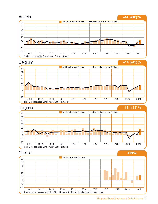





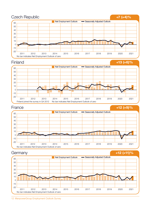

12 ManpowerGroup Employment Outlook Survey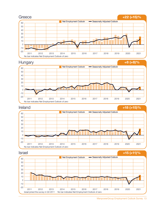











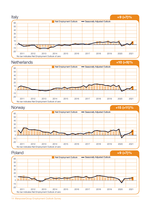

14 ManpowerGroup Employment Outlook Survey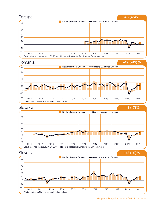







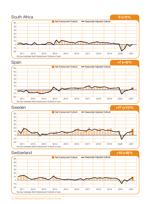

<sup>16</sup> ManpowerGroup Employment Outlook Survey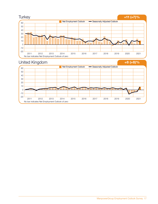